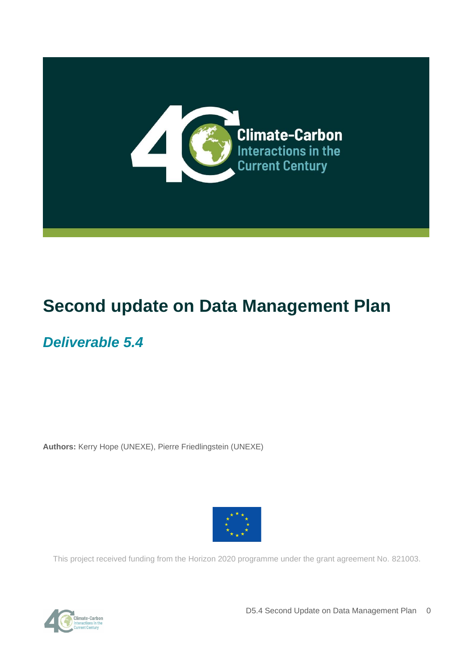

# **Second update on Data Management Plan**

## *Deliverable 5.4*

**Authors:** Kerry Hope (UNEXE), Pierre Friedlingstein (UNEXE)



This project received funding from the Horizon 2020 programme under the grant agreement No. 821003.



D5.4 Second Update on Data Management Plan 0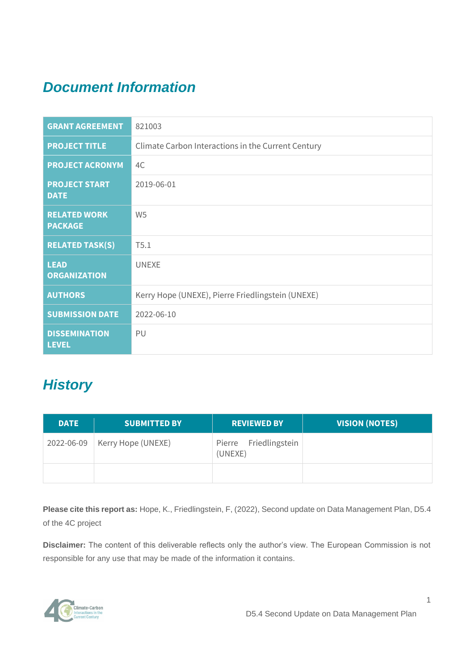## *Document Information*

| <b>GRANT AGREEMENT</b>                | 821003                                             |
|---------------------------------------|----------------------------------------------------|
| <b>PROJECT TITLE</b>                  | Climate Carbon Interactions in the Current Century |
| <b>PROJECT ACRONYM</b>                | 4C                                                 |
| <b>PROJECT START</b><br><b>DATE</b>   | 2019-06-01                                         |
| <b>RELATED WORK</b><br><b>PACKAGE</b> | W <sub>5</sub>                                     |
| <b>RELATED TASK(S)</b>                | T5.1                                               |
| <b>LEAD</b><br><b>ORGANIZATION</b>    | <b>UNEXE</b>                                       |
| <b>AUTHORS</b>                        | Kerry Hope (UNEXE), Pierre Friedlingstein (UNEXE)  |
| <b>SUBMISSION DATE</b>                | 2022-06-10                                         |
| <b>DISSEMINATION</b><br><b>LEVEL</b>  | PU                                                 |

## *History*

| <b>DATE</b> | <b>SUBMITTED BY</b> | <b>REVIEWED BY</b>               | <b>VISION (NOTES)</b> |
|-------------|---------------------|----------------------------------|-----------------------|
| 2022-06-09  | Kerry Hope (UNEXE)  | Pierre Friedlingstein<br>(UNEXE) |                       |
|             |                     |                                  |                       |

**Please cite this report as:** Hope, K., Friedlingstein, F, (2022), Second update on Data Management Plan, D5.4 of the 4C project

**Disclaimer:** The content of this deliverable reflects only the author's view. The European Commission is not responsible for any use that may be made of the information it contains.

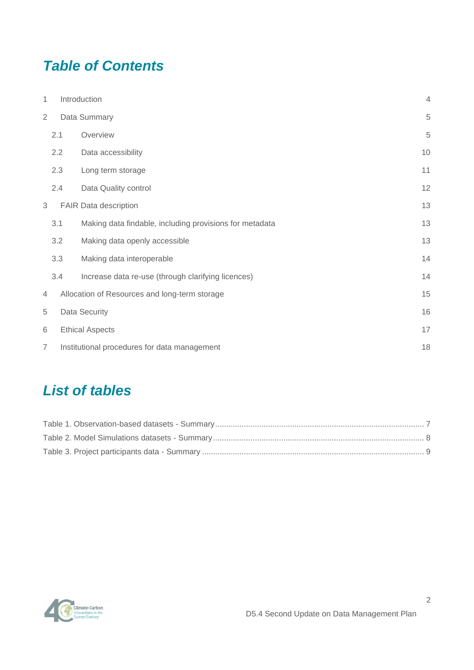## *Table of Contents*

| 1              |                                              | Introduction                                            |    |  |  |  |  |  |  |  |
|----------------|----------------------------------------------|---------------------------------------------------------|----|--|--|--|--|--|--|--|
| $\overline{2}$ |                                              | Data Summary                                            | 5  |  |  |  |  |  |  |  |
|                | 2.1                                          | Overview                                                | 5  |  |  |  |  |  |  |  |
|                | 2.2                                          | Data accessibility                                      | 10 |  |  |  |  |  |  |  |
|                | 2.3                                          | Long term storage                                       | 11 |  |  |  |  |  |  |  |
|                | 2.4                                          | Data Quality control                                    | 12 |  |  |  |  |  |  |  |
| 3              |                                              | FAIR Data description                                   | 13 |  |  |  |  |  |  |  |
|                | 3.1                                          | Making data findable, including provisions for metadata | 13 |  |  |  |  |  |  |  |
|                | 3.2                                          | Making data openly accessible                           | 13 |  |  |  |  |  |  |  |
|                | 3.3                                          | Making data interoperable                               | 14 |  |  |  |  |  |  |  |
|                | 3.4                                          | Increase data re-use (through clarifying licences)      | 14 |  |  |  |  |  |  |  |
| $\overline{4}$ |                                              | Allocation of Resources and long-term storage           | 15 |  |  |  |  |  |  |  |
| 5              |                                              | Data Security                                           | 16 |  |  |  |  |  |  |  |
| 6              | <b>Ethical Aspects</b>                       |                                                         |    |  |  |  |  |  |  |  |
| $\overline{7}$ | Institutional procedures for data management |                                                         |    |  |  |  |  |  |  |  |

## *List of tables*

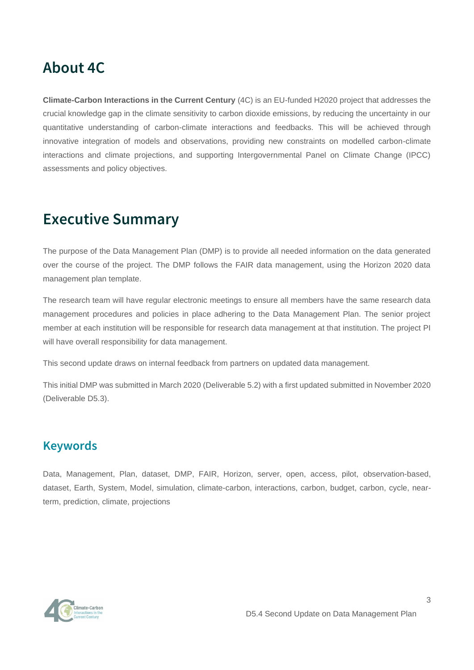## **About 4C**

**Climate-Carbon Interactions in the Current Century** (4C) is an EU-funded H2020 project that addresses the crucial knowledge gap in the climate sensitivity to carbon dioxide emissions, by reducing the uncertainty in our quantitative understanding of carbon-climate interactions and feedbacks. This will be achieved through innovative integration of models and observations, providing new constraints on modelled carbon-climate interactions and climate projections, and supporting Intergovernmental Panel on Climate Change (IPCC) assessments and policy objectives.

## **Executive Summary**

The purpose of the Data Management Plan (DMP) is to provide all needed information on the data generated over the course of the project. The DMP follows the FAIR data management, using the Horizon 2020 data management plan template.

The research team will have regular electronic meetings to ensure all members have the same research data management procedures and policies in place adhering to the Data Management Plan. The senior project member at each institution will be responsible for research data management at that institution. The project PI will have overall responsibility for data management.

This second update draws on internal feedback from partners on updated data management.

This initial DMP was submitted in March 2020 (Deliverable 5.2) with a first updated submitted in November 2020 (Deliverable D5.3).

### **Keywords**

Data, Management, Plan, dataset, DMP, FAIR, Horizon, server, open, access, pilot, observation-based, dataset, Earth, System, Model, simulation, climate-carbon, interactions, carbon, budget, carbon, cycle, nearterm, prediction, climate, projections

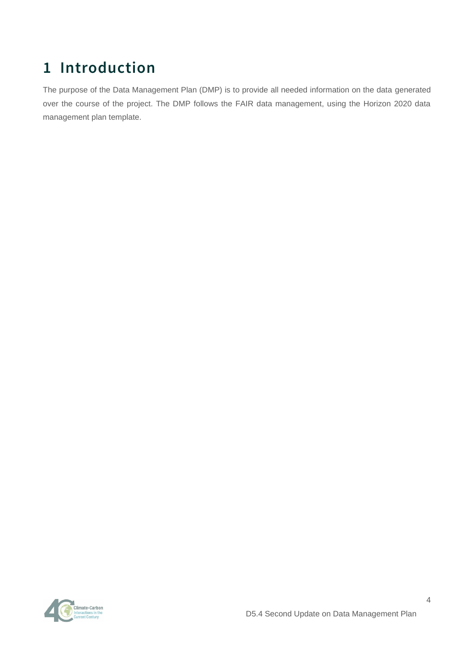# <span id="page-4-0"></span>**1 Introduction**

The purpose of the Data Management Plan (DMP) is to provide all needed information on the data generated over the course of the project. The DMP follows the FAIR data management, using the Horizon 2020 data management plan template.

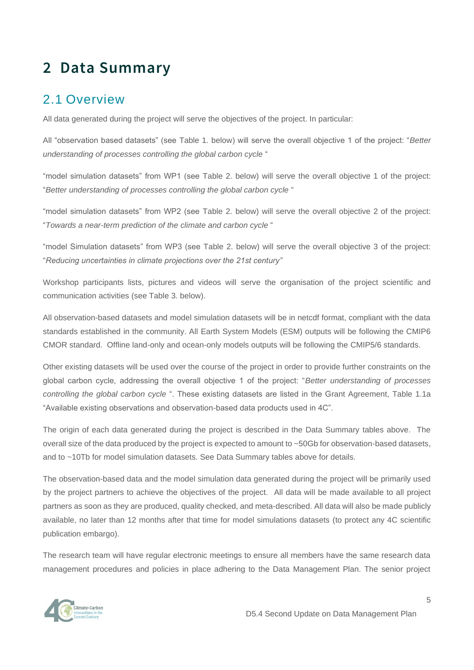# <span id="page-5-0"></span>**2 Data Summary**

### <span id="page-5-1"></span>2.1 Overview

All data generated during the project will serve the objectives of the project. In particular:

All "observation based datasets" (see Table 1. below) will serve the overall objective 1 of the project: "*Better understanding of processes controlling the global carbon cycle* "

"model simulation datasets" from WP1 (see Table 2. below) will serve the overall objective 1 of the project: "*Better understanding of processes controlling the global carbon cycle* "

"model simulation datasets" from WP2 (see Table 2. below) will serve the overall objective 2 of the project: "*Towards a near-term prediction of the climate and carbon cycle* "

"model Simulation datasets" from WP3 (see Table 2. below) will serve the overall objective 3 of the project: "*Reducing uncertainties in climate projections over the 21st century"*

Workshop participants lists, pictures and videos will serve the organisation of the project scientific and communication activities (see Table 3. below).

All observation-based datasets and model simulation datasets will be in netcdf format, compliant with the data standards established in the community. All Earth System Models (ESM) outputs will be following the CMIP6 CMOR standard. Offline land-only and ocean-only models outputs will be following the CMIP5/6 standards.

Other existing datasets will be used over the course of the project in order to provide further constraints on the global carbon cycle, addressing the overall objective 1 of the project: "*Better understanding of processes controlling the global carbon cycle* ". These existing datasets are listed in the Grant Agreement, Table 1.1a "Available existing observations and observation-based data products used in 4C".

The origin of each data generated during the project is described in the Data Summary tables above. The overall size of the data produced by the project is expected to amount to ~50Gb for observation-based datasets, and to ~10Tb for model simulation datasets. See Data Summary tables above for details.

The observation-based data and the model simulation data generated during the project will be primarily used by the project partners to achieve the objectives of the project. All data will be made available to all project partners as soon as they are produced, quality checked, and meta-described. All data will also be made publicly available, no later than 12 months after that time for model simulations datasets (to protect any 4C scientific publication embargo).

The research team will have regular electronic meetings to ensure all members have the same research data management procedures and policies in place adhering to the Data Management Plan. The senior project



5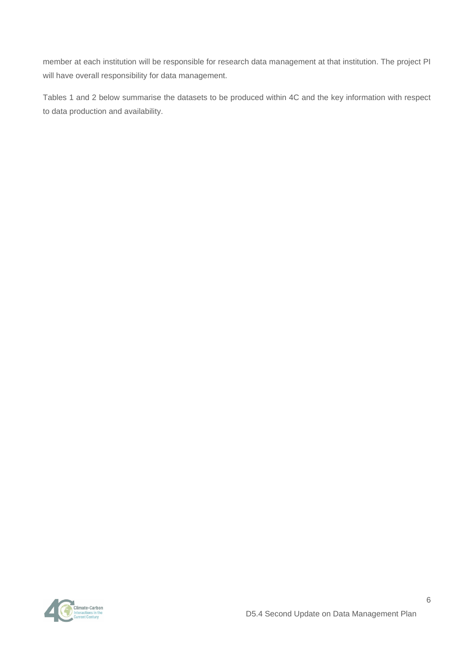member at each institution will be responsible for research data management at that institution. The project PI will have overall responsibility for data management.

Tables 1 and 2 below summarise the datasets to be produced within 4C and the key information with respect to data production and availability.



D5.4 Second Update on Data Management Plan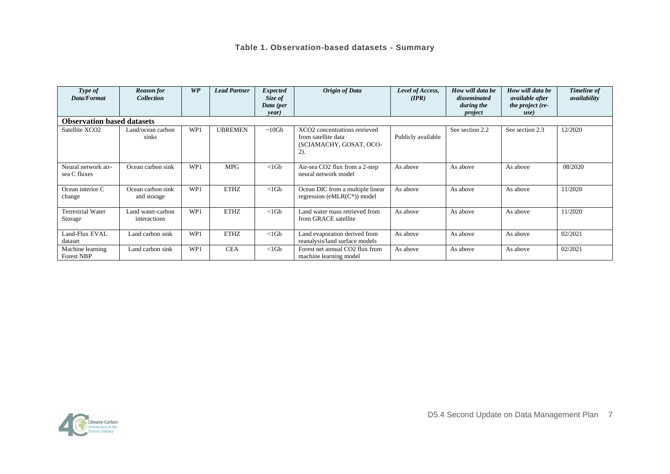#### **Table 1. Observation-based datasets - Summary**

<span id="page-7-0"></span>

| Type of<br>Data/Format                | <b>Reason</b> for<br><b>Collection</b> | WP  | <b>Lead Partner</b> | <b>Expected</b><br>Size of | <b>Origin of Data</b>                                                                     | Level of Access,<br>(IPR) | How will data be<br>disseminated | How will data be<br><i>available after</i> | <b>Timeline of</b><br>availability |  |
|---------------------------------------|----------------------------------------|-----|---------------------|----------------------------|-------------------------------------------------------------------------------------------|---------------------------|----------------------------------|--------------------------------------------|------------------------------------|--|
|                                       |                                        |     |                     | Data (per<br>year)         |                                                                                           |                           | during the<br>project            | the project (re-<br>use)                   |                                    |  |
| <b>Observation based datasets</b>     |                                        |     |                     |                            |                                                                                           |                           |                                  |                                            |                                    |  |
| Satellite XCO <sub>2</sub>            | Land/ocean carbon<br>sinks             | WP1 | UBREMEN             | $~10$ Gb                   | XCO2 concentrations retrieved<br>from satellite data<br>(SCIAMACHY, GOSAT, OCO-<br>$2)$ . | Publicly available        | See section 2.2                  | See section 2.3                            | 12/2020                            |  |
| Neural network air-<br>sea C fluxes   | Ocean carbon sink                      | WP1 | <b>MPG</b>          | $<1$ Gb                    | Air-sea CO2 flux from a 2-step<br>neural network model                                    | As above                  | As above                         | As above                                   | 08/2020                            |  |
| Ocean interior C<br>change            | Ocean carbon sink<br>and storage       | WP1 | <b>ETHZ</b>         | $<1$ Gb                    | Ocean DIC from a multiple linear<br>regression (eMLR $(C^*)$ ) model                      | As above                  | As above                         | As above                                   | 11/2020                            |  |
| <b>Terrestrial Water</b><br>Storage   | Land water-carbon<br>interactions      | WP1 | <b>ETHZ</b>         | $<1$ Gb                    | Land water mass retrieved from<br>from GRACE satellite                                    | As above                  | As above                         | As above                                   | 11/2020                            |  |
| Land-Flux EVAL<br>dataset             | Land carbon sink                       | WP1 | <b>ETHZ</b>         | $<1$ Gb                    | Land evaporation derived from<br>reanalysis/land surface models                           | As above                  | As above                         | As above                                   | 02/2021                            |  |
| Machine learning<br><b>Forest NBP</b> | Land carbon sink                       | WP1 | <b>CEA</b>          | $<1$ Gb                    | Forest net annual CO2 flux from<br>machine learning model                                 | As above                  | As above                         | As above                                   | 02/2021                            |  |

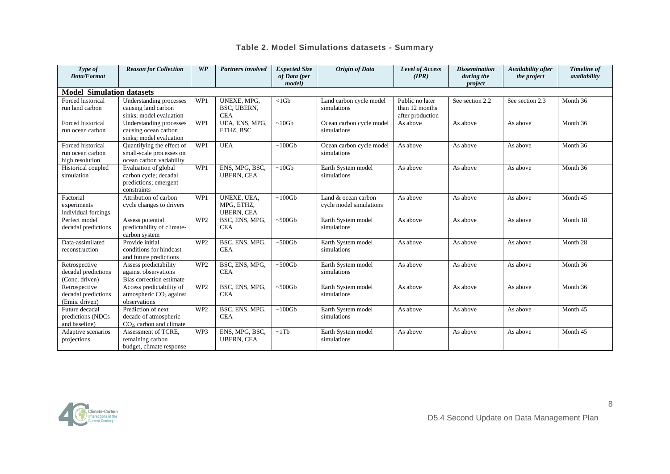#### **Table 2. Model Simulations datasets - Summary**

| Type of<br>Data/Format                | <b>Reason for Collection</b>                    | WP              | <b>Partners involved</b>        | <b>Expected Size</b><br>of Data (per | Origin of Data           | Level of Access<br>(IPR) | <b>Dissemination</b><br>during the | Availability after<br>the project | <b>Timeline</b> of<br>availability |  |  |  |
|---------------------------------------|-------------------------------------------------|-----------------|---------------------------------|--------------------------------------|--------------------------|--------------------------|------------------------------------|-----------------------------------|------------------------------------|--|--|--|
|                                       |                                                 |                 |                                 | <i>model</i> )                       |                          |                          | project                            |                                   |                                    |  |  |  |
| <b>Model Simulation datasets</b>      |                                                 |                 |                                 |                                      |                          |                          |                                    |                                   |                                    |  |  |  |
| Forced historical                     | Understanding processes                         | WP1             | UNEXE, MPG,                     | $<1$ Gb                              | Land carbon cycle model  | Public no later          | See section 2.2                    | See section 2.3                   | Month 36                           |  |  |  |
| run land carbon                       | causing land carbon                             |                 | BSC, UBERN,                     |                                      | simulations              | than 12 months           |                                    |                                   |                                    |  |  |  |
|                                       | sinks; model evaluation                         |                 | <b>CEA</b>                      |                                      |                          | after production         |                                    |                                   |                                    |  |  |  |
| Forced historical                     | Understanding processes                         | WP1             | UEA, ENS, MPG,                  | $~10$ Gb                             | Ocean carbon cycle model | As above                 | As above                           | As above                          | Month 36                           |  |  |  |
| run ocean carbon                      | causing ocean carbon<br>sinks; model evaluation |                 | ETHZ, BSC                       |                                      | simulations              |                          |                                    |                                   |                                    |  |  |  |
| Forced historical                     | Quantifying the effect of                       | WP1             | <b>UEA</b>                      | $~100$ Gb                            | Ocean carbon cycle model | As above                 | As above                           | As above                          | Month 36                           |  |  |  |
| run ocean carbon                      | small-scale processes on                        |                 |                                 |                                      | simulations              |                          |                                    |                                   |                                    |  |  |  |
| high resolution                       | ocean carbon variability                        |                 |                                 |                                      |                          |                          |                                    |                                   |                                    |  |  |  |
| Historical coupled                    | Evaluation of global                            | WP1             | ENS, MPG, BSC,                  | $~10$ Gb                             | Earth System model       | As above                 | As above                           | As above                          | Month 36                           |  |  |  |
| simulation                            | carbon cycle; decadal                           |                 | <b>UBERN, CEA</b>               |                                      | simulations              |                          |                                    |                                   |                                    |  |  |  |
|                                       | predictions; emergent                           |                 |                                 |                                      |                          |                          |                                    |                                   |                                    |  |  |  |
|                                       | constraints                                     |                 |                                 |                                      |                          |                          |                                    |                                   |                                    |  |  |  |
| Factorial                             | Attribution of carbon                           | WP1             | UNEXE, UEA,                     | $\sim 100$ Gb                        | Land & ocean carbon      | As above                 | As above                           | As above                          | Month 45                           |  |  |  |
| experiments                           | cycle changes to drivers                        |                 | MPG, ETHZ,<br><b>UBERN, CEA</b> |                                      | cycle model simulations  |                          |                                    |                                   |                                    |  |  |  |
| individual forcings<br>Perfect model  | Assess potential                                | WP <sub>2</sub> | BSC, ENS, MPG,                  | $~500$ Gb                            | Earth System model       | As above                 | As above                           | As above                          | Month 18                           |  |  |  |
| decadal predictions                   | predictability of climate-                      |                 | <b>CEA</b>                      |                                      | simulations              |                          |                                    |                                   |                                    |  |  |  |
|                                       | carbon system                                   |                 |                                 |                                      |                          |                          |                                    |                                   |                                    |  |  |  |
| Data-assimilated                      | Provide initial                                 | WP <sub>2</sub> | BSC, ENS, MPG,                  | $~500$ Gb                            | Earth System model       | As above                 | As above                           | As above                          | Month 28                           |  |  |  |
| reconstruction                        | conditions for hindcast                         |                 | <b>CEA</b>                      |                                      | simulations              |                          |                                    |                                   |                                    |  |  |  |
|                                       | and future predictions                          |                 |                                 |                                      |                          |                          |                                    |                                   |                                    |  |  |  |
| Retrospective                         | Assess predictability                           | WP <sub>2</sub> | BSC, ENS, MPG,                  | $~500$ Gb                            | Earth System model       | As above                 | As above                           | As above                          | Month 36                           |  |  |  |
| decadal predictions                   | against observations                            |                 | <b>CEA</b>                      |                                      | simulations              |                          |                                    |                                   |                                    |  |  |  |
| (Conc. driven)                        | Bias correction estimate                        |                 |                                 |                                      |                          |                          |                                    |                                   |                                    |  |  |  |
| Retrospective                         | Access predictability of                        | WP <sub>2</sub> | BSC, ENS, MPG,                  | $~500$ Gb                            | Earth System model       | As above                 | As above                           | As above                          | Month 36                           |  |  |  |
| decadal predictions<br>(Emis. driven) | atmospheric $CO2$ against<br>observations       |                 | <b>CEA</b>                      |                                      | simulations              |                          |                                    |                                   |                                    |  |  |  |
| Future decadal                        | Prediction of next                              | WP <sub>2</sub> | BSC, ENS, MPG,                  | $~100$ Gb                            | Earth System model       | As above                 | As above                           | As above                          | Month 45                           |  |  |  |
| predictions (NDCs                     | decade of atmospheric                           |                 | <b>CEA</b>                      |                                      | simulations              |                          |                                    |                                   |                                    |  |  |  |
| and baseline)                         | $CO2$ , carbon and climate                      |                 |                                 |                                      |                          |                          |                                    |                                   |                                    |  |  |  |
| Adaptive scenarios                    | Assessment of TCRE,                             | WP3             | ENS, MPG, BSC,                  | $~1$ Tb                              | Earth System model       | As above                 | As above                           | As above                          | Month 45                           |  |  |  |
| projections                           | remaining carbon                                |                 | <b>UBERN, CEA</b>               |                                      | simulations              |                          |                                    |                                   |                                    |  |  |  |
|                                       | budget, climate response                        |                 |                                 |                                      |                          |                          |                                    |                                   |                                    |  |  |  |

<span id="page-8-1"></span><span id="page-8-0"></span>

D5.4 Second Update on Data Management Plan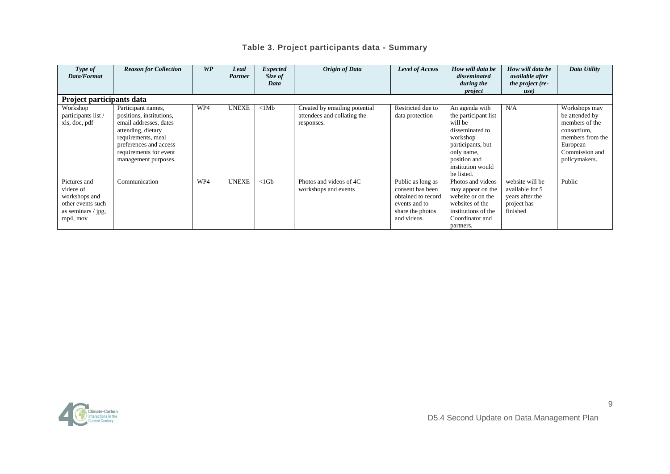#### **Table 3. Project participants data - Summary**

| Type of<br>Data/Format                                                                            | <b>Reason for Collection</b>                                                                                                                                                                     | WP  | Lead<br>Partner | <b>Expected</b><br>Size of | <b>Origin of Data</b>                                                      | Level of Access                                                                                                 | How will data be<br>disseminated                                                                                                                                       | How will data be<br><i>available after</i>                                       | Data Utility                                                                                                                        |  |  |  |
|---------------------------------------------------------------------------------------------------|--------------------------------------------------------------------------------------------------------------------------------------------------------------------------------------------------|-----|-----------------|----------------------------|----------------------------------------------------------------------------|-----------------------------------------------------------------------------------------------------------------|------------------------------------------------------------------------------------------------------------------------------------------------------------------------|----------------------------------------------------------------------------------|-------------------------------------------------------------------------------------------------------------------------------------|--|--|--|
|                                                                                                   |                                                                                                                                                                                                  |     |                 | Data                       |                                                                            |                                                                                                                 | during the<br>project                                                                                                                                                  | the project (re-<br>use)                                                         |                                                                                                                                     |  |  |  |
| Project participants data                                                                         |                                                                                                                                                                                                  |     |                 |                            |                                                                            |                                                                                                                 |                                                                                                                                                                        |                                                                                  |                                                                                                                                     |  |  |  |
| Workshop<br>participants list /<br>xls, doc, pdf                                                  | Participant names,<br>positions, institutions,<br>email addresses, dates<br>attending, dietary<br>requirements, meal<br>preferences and access<br>requirements for event<br>management purposes. | WP4 | <b>UNEXE</b>    | <1Mb                       | Created by emailing potential<br>attendees and collating the<br>responses. | Restricted due to<br>data protection                                                                            | An agenda with<br>the participant list<br>will be<br>disseminated to<br>workshop<br>participants, but<br>only name,<br>position and<br>institution would<br>be listed. | N/A                                                                              | Workshops may<br>be attended by<br>members of the<br>consortium,<br>members from the<br>European<br>Commission and<br>policymakers. |  |  |  |
| Pictures and<br>videos of<br>workshops and<br>other events such<br>as seminars / jpg,<br>mp4, mov | Communication                                                                                                                                                                                    | WP4 | <b>UNEXE</b>    | $<$ 1 $Gb$                 | Photos and videos of 4C<br>workshops and events                            | Public as long as<br>consent has been<br>obtained to record<br>events and to<br>share the photos<br>and videos. | Photos and videos<br>may appear on the<br>website or on the<br>websites of the<br>institutions of the<br>Coordinator and<br>partners.                                  | website will be<br>available for 5<br>years after the<br>project has<br>finished | Public                                                                                                                              |  |  |  |

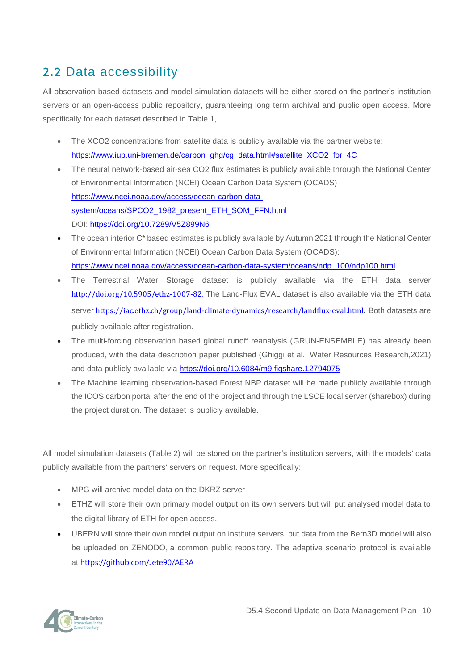### <span id="page-10-0"></span>**2.2** Data accessibility

All observation-based datasets and model simulation datasets will be either stored on the partner's institution servers or an open-access public repository, guaranteeing long term archival and public open access. More specifically for each dataset described in Table 1,

- The XCO2 concentrations from satellite data is publicly available via the partner website: [https://www.iup.uni-bremen.de/carbon\\_ghg/cg\\_data.html#satellite\\_XCO2\\_for\\_4C](https://www.iup.uni-bremen.de/carbon_ghg/cg_data.html#satellite_XCO2_for_4C)
- The neural network-based air-sea CO2 flux estimates is publicly available through the National Center of Environmental Information (NCEI) Ocean Carbon Data System (OCADS) [https://www.ncei.noaa.gov/access/ocean-carbon-data](https://www.ncei.noaa.gov/access/ocean-carbon-data-system/oceans/SPCO2_1982_present_ETH_SOM_FFN.html)[system/oceans/SPCO2\\_1982\\_present\\_ETH\\_SOM\\_FFN.html](https://www.ncei.noaa.gov/access/ocean-carbon-data-system/oceans/SPCO2_1982_present_ETH_SOM_FFN.html) DOI: <https://doi.org/10.7289/V5Z899N6>
- The ocean interior C<sup>\*</sup> based estimates is publicly available by Autumn 2021 through the National Center of Environmental Information (NCEI) Ocean Carbon Data System (OCADS): [https://www.ncei.noaa.gov/access/ocean-carbon-data-system/oceans/ndp\\_100/ndp100.html.](https://www.ncei.noaa.gov/access/ocean-carbon-data-system/oceans/ndp_100/ndp100.html)
- The Terrestrial Water Storage dataset is publicly available via the ETH data server [http://doi.org/10.5905/ethz-1007-82.](http://doi.org/10.5905/ethz-1007-82) The Land-Flux EVAL dataset is also available via the ETH data server [https://iac.ethz.ch/group/land-climate-dynamics/research/landflux-eval.html](https://eur03.safelinks.protection.outlook.com/?url=https%3A%2F%2Fiac.ethz.ch%2Fgroup%2Fland-climate-dynamics%2Fresearch%2Flandflux-eval.html&data=05%7C01%7CP.Friedlingstein%40exeter.ac.uk%7Ca0a9ed6bbfdc4f811d9e08da48651c46%7C912a5d77fb984eeeaf321334d8f04a53%7C0%7C0%7C637901896343844749%7CUnknown%7CTWFpbGZsb3d8eyJWIjoiMC4wLjAwMDAiLCJQIjoiV2luMzIiLCJBTiI6Ik1haWwiLCJXVCI6Mn0%3D%7C3000%7C%7C%7C&sdata=dXivlDSSWr4t8cfcD%2BGKHSaYaIUmUQfo2%2BkQbHcqq0Q%3D&reserved=0). Both datasets are publicly available after registration.
- The multi-forcing observation based global runoff reanalysis (GRUN-ENSEMBLE) has already been produced, with the data description paper published (Ghiggi et al., Water Resources Research,2021) and data publicly available via<https://doi.org/10.6084/m9.figshare.12794075>
- The Machine learning observation-based Forest NBP dataset will be made publicly available through the ICOS carbon portal after the end of the project and through the LSCE local server (sharebox) during the project duration. The dataset is publicly available.

All model simulation datasets (Table 2) will be stored on the partner's institution servers, with the models' data publicly available from the partners' servers on request. More specifically:

- MPG will archive model data on the DKRZ server
- ETHZ will store their own primary model output on its own servers but will put analysed model data to the digital library of ETH for open access.
- UBERN will store their own model output on institute servers, but data from the Bern3D model will also be uploaded on ZENODO, a common public repository. The adaptive scenario protocol is available at [https://github.com/Jete90/AERA](https://eur03.safelinks.protection.outlook.com/?url=https%3A%2F%2Fgithub.com%2FJete90%2FAERA&data=04%7C01%7C4C%40exeter.ac.uk%7Cdeef9679a5114309763008da1233a180%7C912a5d77fb984eeeaf321334d8f04a53%7C0%7C0%7C637842310201221822%7CUnknown%7CTWFpbGZsb3d8eyJWIjoiMC4wLjAwMDAiLCJQIjoiV2luMzIiLCJBTiI6Ik1haWwiLCJXVCI6Mn0%3D%7C3000&sdata=vDFiCymIERMu8vPP3wrylTRUWZdlWggC72Zk0NI9p9U%3D&reserved=0)

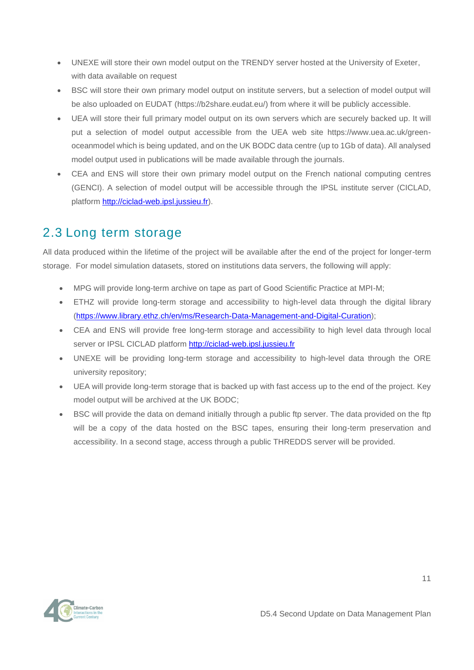- UNEXE will store their own model output on the TRENDY server hosted at the University of Exeter, with data available on request
- BSC will store their own primary model output on institute servers, but a selection of model output will be also uploaded on EUDAT [\(https://b2share.eudat.eu/\)](https://eur03.safelinks.protection.outlook.com/?url=https%3A%2F%2Fb2share.eudat.eu%2F&data=04%7C01%7C4C%40exeter.ac.uk%7C8d8e62e50d4a43aeb38b08d892c3c267%7C912a5d77fb984eeeaf321334d8f04a53%7C0%7C0%7C637420716799219643%7CUnknown%7CTWFpbGZsb3d8eyJWIjoiMC4wLjAwMDAiLCJQIjoiV2luMzIiLCJBTiI6Ik1haWwiLCJXVCI6Mn0%3D%7C1000&sdata=ys5ZGt3vxKeGuVtb5C%2FSROYP3qrI4mjMcIyFwBq46jk%3D&reserved=0) from where it will be publicly accessible.
- UEA will store their full primary model output on its own servers which are securely backed up. It will put a selection of model output accessible from the UEA web site https://www.uea.ac.uk/greenoceanmodel which is being updated, and on the UK BODC data centre (up to 1Gb of data). All analysed model output used in publications will be made available through the journals.
- CEA and ENS will store their own primary model output on the French national computing centres (GENCI). A selection of model output will be accessible through the IPSL institute server (CICLAD, platform [http://ciclad-web.ipsl.jussieu.fr\)](http://ciclad-web.ipsl.jussieu.fr/).

### <span id="page-11-0"></span>2.3 Long term storage

All data produced within the lifetime of the project will be available after the end of the project for longer-term storage. For model simulation datasets, stored on institutions data servers, the following will apply:

- MPG will provide long-term archive on tape as part of Good Scientific Practice at MPI-M;
- ETHZ will provide long-term storage and accessibility to high-level data through the digital library [\(https://www.library.ethz.ch/en/ms/Research-Data-Management-and-Digital-Curation\)](https://www.library.ethz.ch/en/ms/Research-Data-Management-and-Digital-Curation);
- CEA and ENS will provide free long-term storage and accessibility to high level data through local server or IPSL CICLAD platform [http://ciclad-web.ipsl.jussieu.fr](http://ciclad-web.ipsl.jussieu.fr/)
- UNEXE will be providing long-term storage and accessibility to high-level data through the ORE university repository;
- UEA will provide long-term storage that is backed up with fast access up to the end of the project. Key model output will be archived at the UK BODC;
- BSC will provide the data on demand initially through a public ftp server. The data provided on the ftp will be a copy of the data hosted on the BSC tapes, ensuring their long-term preservation and accessibility. In a second stage, access through a public THREDDS server will be provided.



11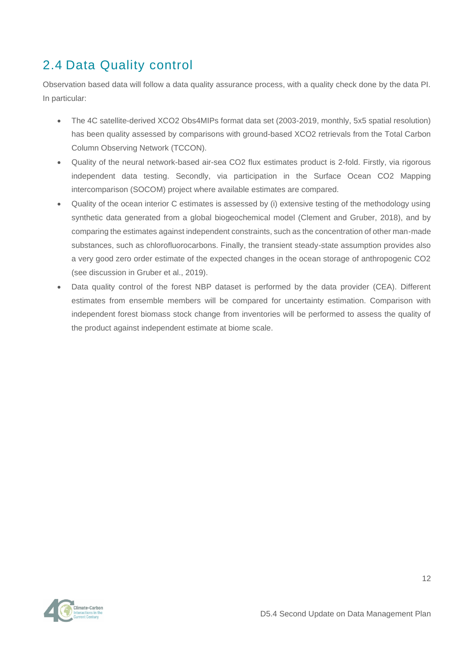### <span id="page-12-0"></span>2.4 Data Quality control

Observation based data will follow a data quality assurance process, with a quality check done by the data PI. In particular:

- The 4C satellite-derived XCO2 Obs4MIPs format data set (2003-2019, monthly, 5x5 spatial resolution) has been quality assessed by comparisons with ground-based XCO2 retrievals from the Total Carbon Column Observing Network (TCCON).
- Quality of the neural network-based air-sea CO2 flux estimates product is 2-fold. Firstly, via rigorous independent data testing. Secondly, via participation in the Surface Ocean CO2 Mapping intercomparison (SOCOM) project where available estimates are compared.
- Quality of the ocean interior C estimates is assessed by (i) extensive testing of the methodology using synthetic data generated from a global biogeochemical model (Clement and Gruber, 2018), and by comparing the estimates against independent constraints, such as the concentration of other man-made substances, such as chlorofluorocarbons. Finally, the transient steady-state assumption provides also a very good zero order estimate of the expected changes in the ocean storage of anthropogenic CO2 (see discussion in Gruber et al., 2019).
- Data quality control of the forest NBP dataset is performed by the data provider (CEA). Different estimates from ensemble members will be compared for uncertainty estimation. Comparison with independent forest biomass stock change from inventories will be performed to assess the quality of the product against independent estimate at biome scale.

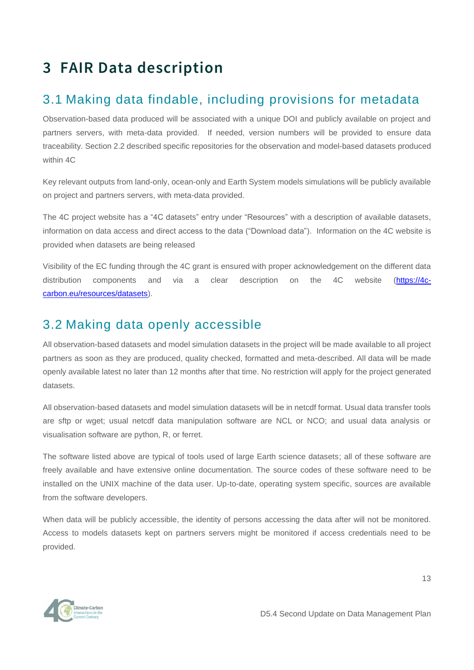# <span id="page-13-0"></span>**3 FAIR Data description**

### <span id="page-13-1"></span>3.1 Making data findable, including provisions for metadata

Observation-based data produced will be associated with a unique DOI and publicly available on project and partners servers, with meta-data provided. If needed, version numbers will be provided to ensure data traceability. Section 2.2 described specific repositories for the observation and model-based datasets produced within 4C

Key relevant outputs from land-only, ocean-only and Earth System models simulations will be publicly available on project and partners servers, with meta-data provided.

The 4C project website has a "4C datasets" entry under "Resources" with a description of available datasets, information on data access and direct access to the data ("Download data"). Information on the 4C website is provided when datasets are being released

Visibility of the EC funding through the 4C grant is ensured with proper acknowledgement on the different data distribution components and via a clear description on the 4C website [\(https://4c](https://4c-carbon.eu/resources/datasets)[carbon.eu/resources/datasets\)](https://4c-carbon.eu/resources/datasets).

### <span id="page-13-2"></span>3.2 Making data openly accessible

All observation-based datasets and model simulation datasets in the project will be made available to all project partners as soon as they are produced, quality checked, formatted and meta-described. All data will be made openly available latest no later than 12 months after that time. No restriction will apply for the project generated datasets.

All observation-based datasets and model simulation datasets will be in netcdf format. Usual data transfer tools are sftp or wget; usual netcdf data manipulation software are NCL or NCO; and usual data analysis or visualisation software are python, R, or ferret.

The software listed above are typical of tools used of large Earth science datasets; all of these software are freely available and have extensive online documentation. The source codes of these software need to be installed on the UNIX machine of the data user. Up-to-date, operating system specific, sources are available from the software developers.

When data will be publicly accessible, the identity of persons accessing the data after will not be monitored. Access to models datasets kept on partners servers might be monitored if access credentials need to be provided.

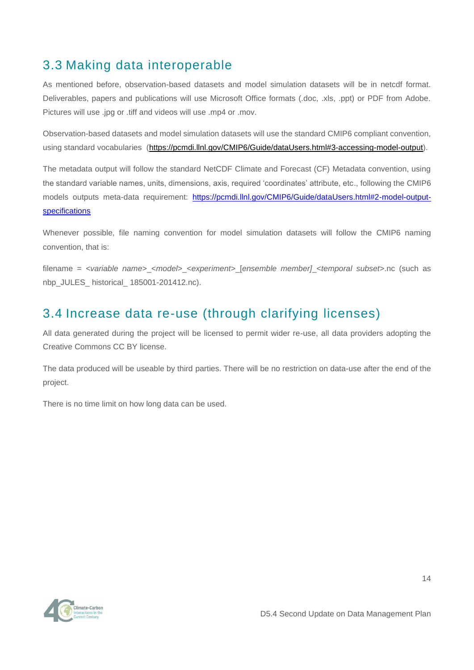### <span id="page-14-0"></span>3.3 Making data interoperable

As mentioned before, observation-based datasets and model simulation datasets will be in netcdf format. Deliverables, papers and publications will use Microsoft Office formats (.doc, .xls, .ppt) or PDF from Adobe. Pictures will use .jpg or .tiff and videos will use .mp4 or .mov.

Observation-based datasets and model simulation datasets will use the standard CMIP6 compliant convention, using standard vocabularies [\(https://pcmdi.llnl.gov/CMIP6/Guide/dataUsers.html#3-accessing-model-output\)](https://pcmdi.llnl.gov/CMIP6/Guide/dataUsers.html#3-accessing-model-output).

The metadata output will follow the standard NetCDF Climate and Forecast (CF) Metadata convention, using the standard variable names, units, dimensions, axis, required 'coordinates' attribute, etc., following the CMIP6 models outputs meta-data requirement: [https://pcmdi.llnl.gov/CMIP6/Guide/dataUsers.html#2-model-output](https://pcmdi.llnl.gov/CMIP6/Guide/dataUsers.html#2-model-output-specifications)[specifications](https://pcmdi.llnl.gov/CMIP6/Guide/dataUsers.html#2-model-output-specifications)

Whenever possible, file naming convention for model simulation datasets will follow the CMIP6 naming convention, that is:

filename = *<variable name>*\_<*model>*\_<*experiment>*\_[*ensemble member]*\_<*temporal subset*>.nc (such as nbp\_JULES\_ historical\_ 185001-201412.nc).

### <span id="page-14-1"></span>3.4 Increase data re-use (through clarifying licenses)

All data generated during the project will be licensed to permit wider re-use, all data providers adopting the Creative Commons CC BY license.

The data produced will be useable by third parties. There will be no restriction on data-use after the end of the project.

There is no time limit on how long data can be used.

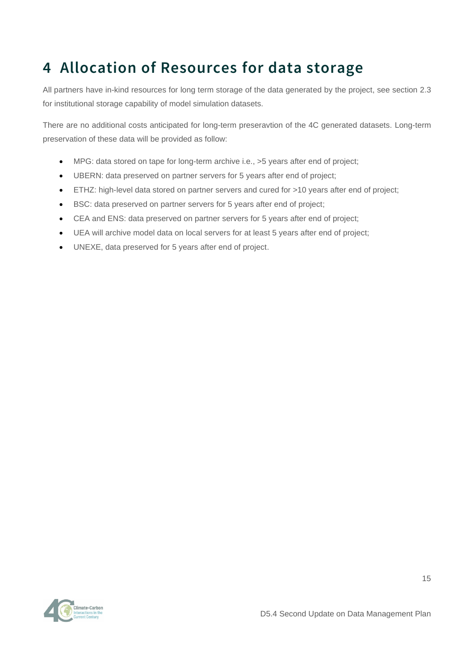# <span id="page-15-0"></span>**4 Allocation of Resources for data storage**

All partners have in-kind resources for long term storage of the data generated by the project, see section 2.3 for institutional storage capability of model simulation datasets.

There are no additional costs anticipated for long-term preseravtion of the 4C generated datasets. Long-term preservation of these data will be provided as follow:

- MPG: data stored on tape for long-term archive i.e., >5 years after end of project;
- UBERN: data preserved on partner servers for 5 years after end of project;
- ETHZ: high-level data stored on partner servers and cured for >10 years after end of project;
- BSC: data preserved on partner servers for 5 years after end of project;
- CEA and ENS: data preserved on partner servers for 5 years after end of project;
- UEA will archive model data on local servers for at least 5 years after end of project;
- UNEXE, data preserved for 5 years after end of project.

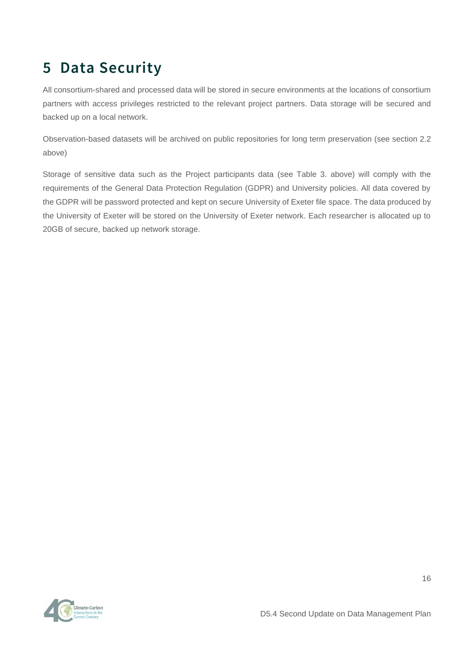# <span id="page-16-0"></span>**5 Data Security**

All consortium-shared and processed data will be stored in secure environments at the locations of consortium partners with access privileges restricted to the relevant project partners. Data storage will be secured and backed up on a local network.

Observation-based datasets will be archived on public repositories for long term preservation (see section 2.2 above)

Storage of sensitive data such as the Project participants data (see Table 3. above) will comply with the requirements of the General Data Protection Regulation (GDPR) and University policies. All data covered by the GDPR will be password protected and kept on secure University of Exeter file space. The data produced by the University of Exeter will be stored on the University of Exeter network. Each researcher is allocated up to 20GB of secure, backed up network storage.

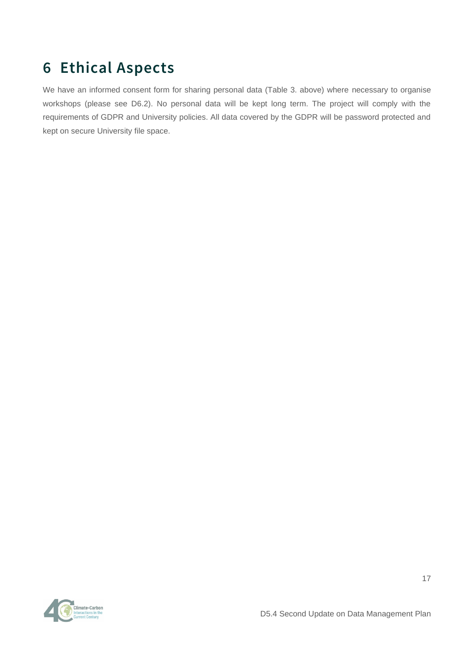# <span id="page-17-0"></span>**6 Ethical Aspects**

We have an informed consent form for sharing personal data (Table 3. above) where necessary to organise workshops (please see D6.2). No personal data will be kept long term. The project will comply with the requirements of GDPR and University policies. All data covered by the GDPR will be password protected and kept on secure University file space.